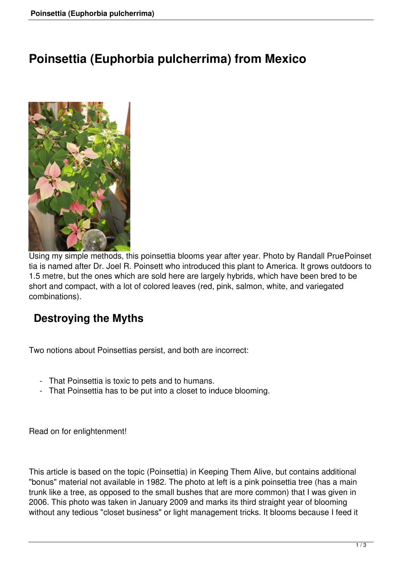# **Poinsettia (Euphorbia pulcherrima) from Mexico**



Using my simple methods, this poinsettia blooms year after year. Photo by Randall PruePoinset tia is named after Dr. Joel R. Poinsett who introduced this plant to America. It grows outdoors to 1.5 metre, but the ones which are sold here are largely hybrids, which have been bred to be short and compact, with a lot of colored leaves (red, pink, salmon, white, and variegated combinations).

## **Destroying the Myths**

Two notions about Poinsettias persist, and both are incorrect:

- That Poinsettia is toxic to pets and to humans.
- That Poinsettia has to be put into a closet to induce blooming.

Read on for enlightenment!

This article is based on the topic (Poinsettia) in Keeping Them Alive, but contains additional "bonus" material not available in 1982. The photo at left is a pink poinsettia tree (has a main trunk like a tree, as opposed to the small bushes that are more common) that I was given in 2006. This photo was taken in January 2009 and marks its third straight year of blooming without any tedious "closet business" or light management tricks. It blooms because I feed it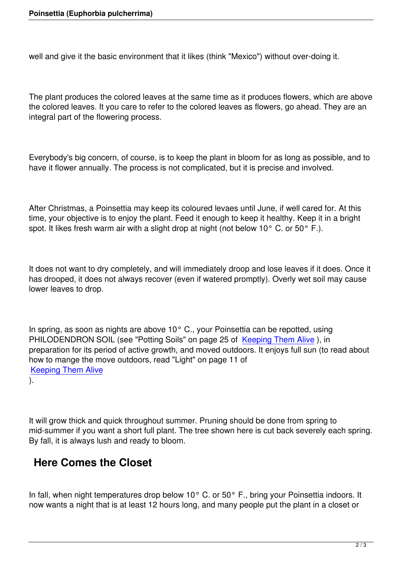well and give it the basic environment that it likes (think "Mexico") without over-doing it.

The plant produces the colored leaves at the same time as it produces flowers, which are above the colored leaves. It you care to refer to the colored leaves as flowers, go ahead. They are an integral part of the flowering process.

Everybody's big concern, of course, is to keep the plant in bloom for as long as possible, and to have it flower annually. The process is not complicated, but it is precise and involved.

After Christmas, a Poinsettia may keep its coloured levaes until June, if well cared for. At this time, your objective is to enjoy the plant. Feed it enough to keep it healthy. Keep it in a bright spot. It likes fresh warm air with a slight drop at night (not below 10 $^{\circ}$  C. or 50 $^{\circ}$  F.).

It does not want to dry completely, and will immediately droop and lose leaves if it does. Once it has drooped, it does not always recover (even if watered promptly). Overly wet soil may cause lower leaves to drop.

In spring, as soon as nights are above 10° C., your Poinsettia can be repotted, using PHILODENDRON SOIL (see "Potting Soils" on page 25 of Keeping Them Alive), in preparation for its period of active growth, and moved outdoors. It enjoys full sun (to read about how to mange the move outdoors, read "Light" on page 11 of Keeping Them Alive

).

It will grow thick and quick throughout summer. Pruning should be done from spring to mid-summer if you want a short full plant. The tree shown here is cut back severely each spring. By fall, it is always lush and ready to bloom.

## **Here Comes the Closet**

In fall, when night temperatures drop below 10 $^{\circ}$  C. or 50 $^{\circ}$  F., bring your Poinsettia indoors. It now wants a night that is at least 12 hours long, and many people put the plant in a closet or